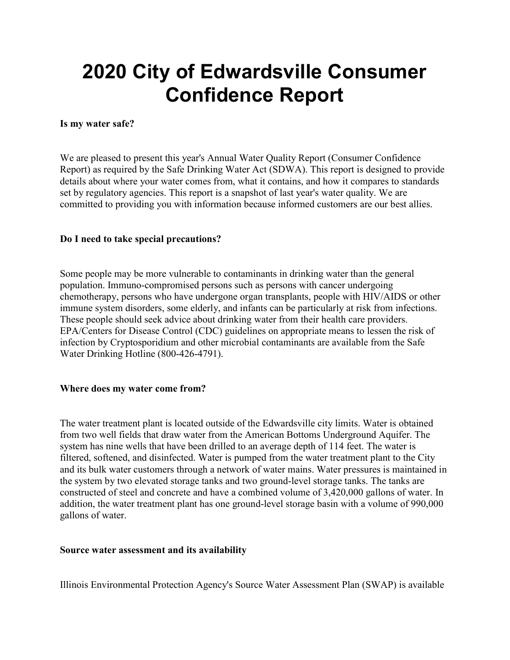# 2020 City of Edwardsville Consumer Confidence Report

## Is my water safe?

We are pleased to present this year's Annual Water Quality Report (Consumer Confidence Report) as required by the Safe Drinking Water Act (SDWA). This report is designed to provide details about where your water comes from, what it contains, and how it compares to standards set by regulatory agencies. This report is a snapshot of last year's water quality. We are committed to providing you with information because informed customers are our best allies.

## Do I need to take special precautions?

Some people may be more vulnerable to contaminants in drinking water than the general population. Immuno-compromised persons such as persons with cancer undergoing chemotherapy, persons who have undergone organ transplants, people with HIV/AIDS or other immune system disorders, some elderly, and infants can be particularly at risk from infections. These people should seek advice about drinking water from their health care providers. EPA/Centers for Disease Control (CDC) guidelines on appropriate means to lessen the risk of infection by Cryptosporidium and other microbial contaminants are available from the Safe Water Drinking Hotline (800-426-4791).

### Where does my water come from?

The water treatment plant is located outside of the Edwardsville city limits. Water is obtained from two well fields that draw water from the American Bottoms Underground Aquifer. The system has nine wells that have been drilled to an average depth of 114 feet. The water is filtered, softened, and disinfected. Water is pumped from the water treatment plant to the City and its bulk water customers through a network of water mains. Water pressures is maintained in the system by two elevated storage tanks and two ground-level storage tanks. The tanks are constructed of steel and concrete and have a combined volume of 3,420,000 gallons of water. In addition, the water treatment plant has one ground-level storage basin with a volume of 990,000 gallons of water.

### Source water assessment and its availability

Illinois Environmental Protection Agency's Source Water Assessment Plan (SWAP) is available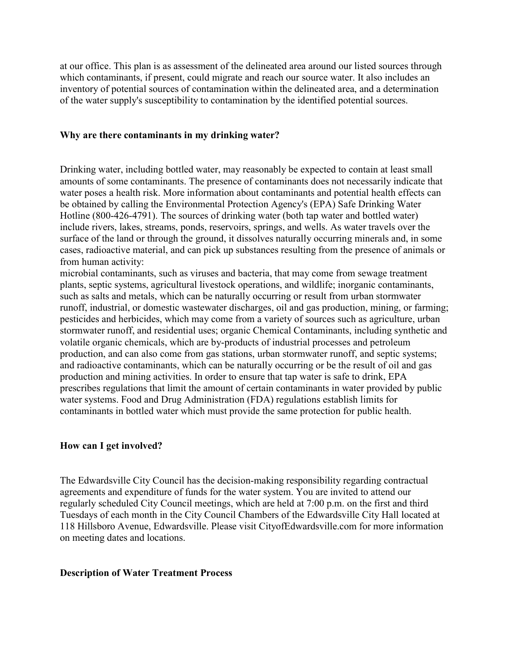at our office. This plan is as assessment of the delineated area around our listed sources through which contaminants, if present, could migrate and reach our source water. It also includes an inventory of potential sources of contamination within the delineated area, and a determination of the water supply's susceptibility to contamination by the identified potential sources.

#### Why are there contaminants in my drinking water?

Drinking water, including bottled water, may reasonably be expected to contain at least small amounts of some contaminants. The presence of contaminants does not necessarily indicate that water poses a health risk. More information about contaminants and potential health effects can be obtained by calling the Environmental Protection Agency's (EPA) Safe Drinking Water Hotline (800-426-4791). The sources of drinking water (both tap water and bottled water) include rivers, lakes, streams, ponds, reservoirs, springs, and wells. As water travels over the surface of the land or through the ground, it dissolves naturally occurring minerals and, in some cases, radioactive material, and can pick up substances resulting from the presence of animals or from human activity:

microbial contaminants, such as viruses and bacteria, that may come from sewage treatment plants, septic systems, agricultural livestock operations, and wildlife; inorganic contaminants, such as salts and metals, which can be naturally occurring or result from urban stormwater runoff, industrial, or domestic wastewater discharges, oil and gas production, mining, or farming; pesticides and herbicides, which may come from a variety of sources such as agriculture, urban stormwater runoff, and residential uses; organic Chemical Contaminants, including synthetic and volatile organic chemicals, which are by-products of industrial processes and petroleum production, and can also come from gas stations, urban stormwater runoff, and septic systems; and radioactive contaminants, which can be naturally occurring or be the result of oil and gas production and mining activities. In order to ensure that tap water is safe to drink, EPA prescribes regulations that limit the amount of certain contaminants in water provided by public water systems. Food and Drug Administration (FDA) regulations establish limits for contaminants in bottled water which must provide the same protection for public health.

### How can I get involved?

The Edwardsville City Council has the decision-making responsibility regarding contractual agreements and expenditure of funds for the water system. You are invited to attend our regularly scheduled City Council meetings, which are held at 7:00 p.m. on the first and third Tuesdays of each month in the City Council Chambers of the Edwardsville City Hall located at 118 Hillsboro Avenue, Edwardsville. Please visit CityofEdwardsville.com for more information on meeting dates and locations.

### Description of Water Treatment Process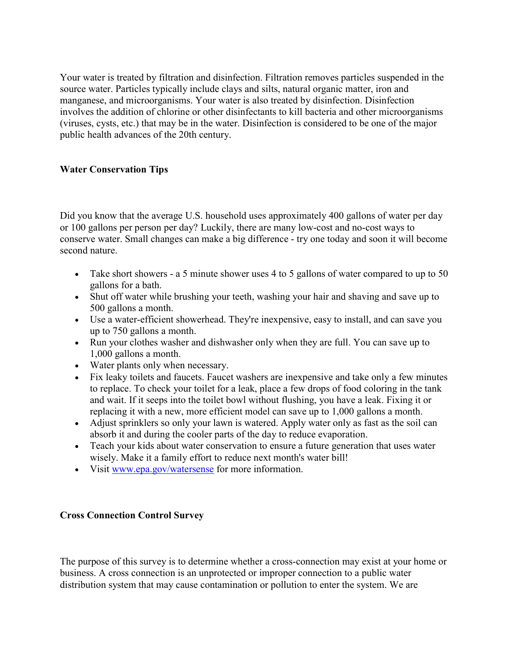Your water is treated by filtration and disinfection. Filtration removes particles suspended in the source water. Particles typically include clays and silts, natural organic matter, iron and manganese, and microorganisms. Your water is also treated by disinfection. Disinfection involves the addition of chlorine or other disinfectants to kill bacteria and other microorganisms (viruses, cysts, etc.) that may be in the water. Disinfection is considered to be one of the major public health advances of the 20th century.

# Water Conservation Tips

Did you know that the average U.S. household uses approximately 400 gallons of water per day or 100 gallons per person per day? Luckily, there are many low-cost and no-cost ways to conserve water. Small changes can make a big difference - try one today and soon it will become second nature.

- Take short showers a 5 minute shower uses 4 to 5 gallons of water compared to up to 50 gallons for a bath.
- Shut off water while brushing your teeth, washing your hair and shaving and save up to 500 gallons a month.
- Use a water-efficient showerhead. They're inexpensive, easy to install, and can save you up to 750 gallons a month.
- Run your clothes washer and dishwasher only when they are full. You can save up to 1,000 gallons a month.
- Water plants only when necessary.
- Fix leaky toilets and faucets. Faucet washers are inexpensive and take only a few minutes to replace. To check your toilet for a leak, place a few drops of food coloring in the tank and wait. If it seeps into the toilet bowl without flushing, you have a leak. Fixing it or replacing it with a new, more efficient model can save up to 1,000 gallons a month.
- Adjust sprinklers so only your lawn is watered. Apply water only as fast as the soil can absorb it and during the cooler parts of the day to reduce evaporation.
- Teach your kids about water conservation to ensure a future generation that uses water wisely. Make it a family effort to reduce next month's water bill!
- Visit www.epa.gov/watersense for more information.

# Cross Connection Control Survey

The purpose of this survey is to determine whether a cross-connection may exist at your home or business. A cross connection is an unprotected or improper connection to a public water distribution system that may cause contamination or pollution to enter the system. We are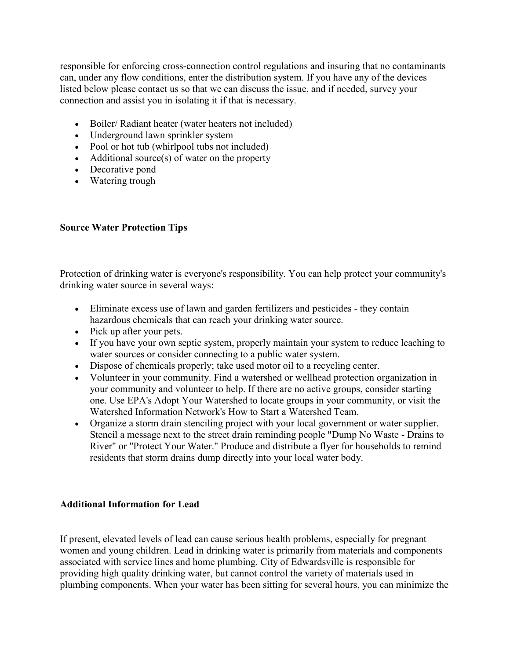responsible for enforcing cross-connection control regulations and insuring that no contaminants can, under any flow conditions, enter the distribution system. If you have any of the devices listed below please contact us so that we can discuss the issue, and if needed, survey your connection and assist you in isolating it if that is necessary.

- Boiler/ Radiant heater (water heaters not included)
- Underground lawn sprinkler system
- Pool or hot tub (whirlpool tubs not included)
- Additional source(s) of water on the property
- Decorative pond
- Watering trough

# Source Water Protection Tips

Protection of drinking water is everyone's responsibility. You can help protect your community's drinking water source in several ways:

- Eliminate excess use of lawn and garden fertilizers and pesticides they contain hazardous chemicals that can reach your drinking water source.
- Pick up after your pets.
- If you have your own septic system, properly maintain your system to reduce leaching to water sources or consider connecting to a public water system.
- Dispose of chemicals properly; take used motor oil to a recycling center.
- Volunteer in your community. Find a watershed or wellhead protection organization in your community and volunteer to help. If there are no active groups, consider starting one. Use EPA's Adopt Your Watershed to locate groups in your community, or visit the Watershed Information Network's How to Start a Watershed Team.
- Organize a storm drain stenciling project with your local government or water supplier. Stencil a message next to the street drain reminding people "Dump No Waste - Drains to River" or "Protect Your Water." Produce and distribute a flyer for households to remind residents that storm drains dump directly into your local water body.

# Additional Information for Lead

If present, elevated levels of lead can cause serious health problems, especially for pregnant women and young children. Lead in drinking water is primarily from materials and components associated with service lines and home plumbing. City of Edwardsville is responsible for providing high quality drinking water, but cannot control the variety of materials used in plumbing components. When your water has been sitting for several hours, you can minimize the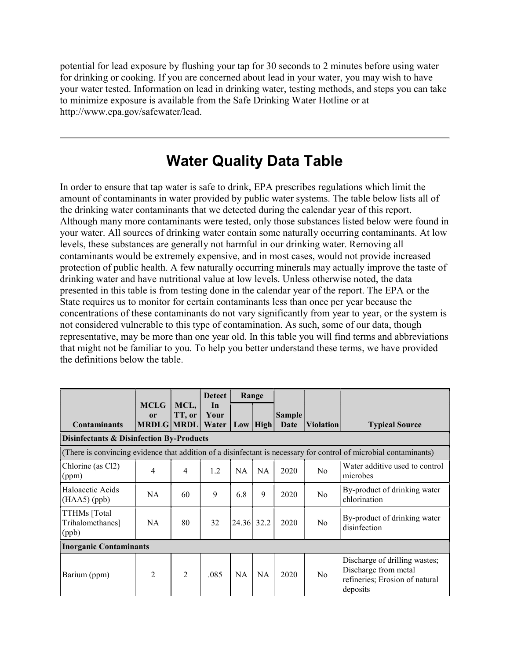potential for lead exposure by flushing your tap for 30 seconds to 2 minutes before using water for drinking or cooking. If you are concerned about lead in your water, you may wish to have your water tested. Information on lead in drinking water, testing methods, and steps you can take to minimize exposure is available from the Safe Drinking Water Hotline or at http://www.epa.gov/safewater/lead.

# Water Quality Data Table

In order to ensure that tap water is safe to drink, EPA prescribes regulations which limit the amount of contaminants in water provided by public water systems. The table below lists all of the drinking water contaminants that we detected during the calendar year of this report. Although many more contaminants were tested, only those substances listed below were found in your water. All sources of drinking water contain some naturally occurring contaminants. At low levels, these substances are generally not harmful in our drinking water. Removing all contaminants would be extremely expensive, and in most cases, would not provide increased protection of public health. A few naturally occurring minerals may actually improve the taste of drinking water and have nutritional value at low levels. Unless otherwise noted, the data presented in this table is from testing done in the calendar year of the report. The EPA or the State requires us to monitor for certain contaminants less than once per year because the concentrations of these contaminants do not vary significantly from year to year, or the system is not considered vulnerable to this type of contamination. As such, some of our data, though representative, may be more than one year old. In this table you will find terms and abbreviations that might not be familiar to you. To help you better understand these terms, we have provided the definitions below the table.

|                                                                                                                   |                                        |                | <b>Detect</b>       | Range      |              |                       |                  |                                                                                                     |
|-------------------------------------------------------------------------------------------------------------------|----------------------------------------|----------------|---------------------|------------|--------------|-----------------------|------------------|-----------------------------------------------------------------------------------------------------|
| <b>Contaminants</b>                                                                                               | <b>MCLG</b><br>0r<br><b>MRDLG MRDL</b> | MCL,<br>TT, or | In<br>Your<br>Water |            | $Low$   High | <b>Sample</b><br>Date | <b>Violation</b> | <b>Typical Source</b>                                                                               |
| Disinfectants & Disinfection By-Products                                                                          |                                        |                |                     |            |              |                       |                  |                                                                                                     |
| (There is convincing evidence that addition of a disinfectant is necessary for control of microbial contaminants) |                                        |                |                     |            |              |                       |                  |                                                                                                     |
| Chlorine (as Cl2)<br>(ppm)                                                                                        | $\overline{4}$                         | 4              | 1.2                 | <b>NA</b>  | <b>NA</b>    | 2020                  | No               | Water additive used to control<br>microbes                                                          |
| Haloacetic Acids<br>$(HAA5)$ (ppb)                                                                                | NA                                     | 60             | 9                   | 6.8        | 9            | 2020                  | No               | By-product of drinking water<br>chlorination                                                        |
| TTHMs [Total<br>Trihalomethanes]<br>(ppb)                                                                         | <b>NA</b>                              | 80             | 32                  | 24.36 32.2 |              | 2020                  | No               | By-product of drinking water<br>disinfection                                                        |
| <b>Inorganic Contaminants</b>                                                                                     |                                        |                |                     |            |              |                       |                  |                                                                                                     |
| Barium (ppm)                                                                                                      | 2                                      | $\overline{2}$ | .085                | <b>NA</b>  | <b>NA</b>    | 2020                  | N <sub>0</sub>   | Discharge of drilling wastes;<br>Discharge from metal<br>refineries; Erosion of natural<br>deposits |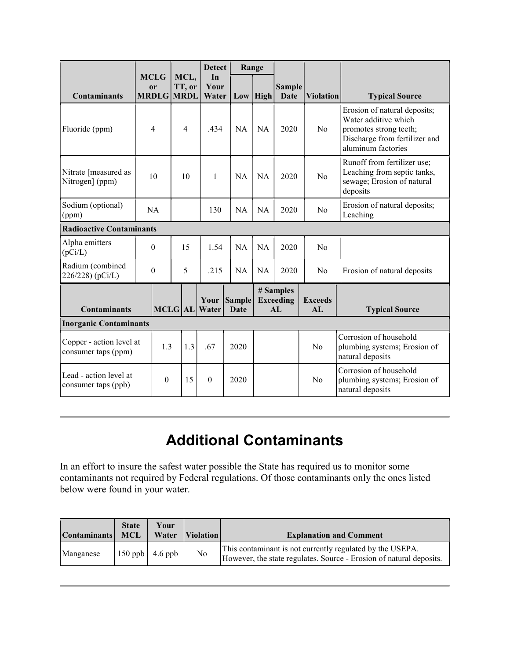|                                                 |  |                                                   |    |                | <b>Detect</b>       | Range                 |            |                                                  |                      |                                                                                                                                       |
|-------------------------------------------------|--|---------------------------------------------------|----|----------------|---------------------|-----------------------|------------|--------------------------------------------------|----------------------|---------------------------------------------------------------------------------------------------------------------------------------|
| <b>Contaminants</b>                             |  | <b>MCLG</b><br><sub>or</sub><br><b>MRDLG MRDL</b> |    | MCL,<br>TT, or | In<br>Your<br>Water |                       | $Low$ High | <b>Sample</b><br>Date                            | <b>Violation</b>     | <b>Typical Source</b>                                                                                                                 |
| Fluoride (ppm)                                  |  | 4                                                 |    | $\overline{4}$ | .434                | <b>NA</b>             | <b>NA</b>  | 2020                                             | No                   | Erosion of natural deposits;<br>Water additive which<br>promotes strong teeth;<br>Discharge from fertilizer and<br>aluminum factories |
| Nitrate [measured as<br>Nitrogen] (ppm)         |  | 10                                                |    | 10             | $\mathbf{1}$        | <b>NA</b>             | <b>NA</b>  | 2020                                             | No                   | Runoff from fertilizer use;<br>Leaching from septic tanks,<br>sewage; Erosion of natural<br>deposits                                  |
| Sodium (optional)<br>(ppm)                      |  | NA                                                |    |                | 130                 | <b>NA</b>             | <b>NA</b>  | 2020                                             | No                   | Erosion of natural deposits;<br>Leaching                                                                                              |
| <b>Radioactive Contaminants</b>                 |  |                                                   |    |                |                     |                       |            |                                                  |                      |                                                                                                                                       |
| Alpha emitters<br>(pCi/L)                       |  | $\theta$                                          |    | 15             | 1.54                | <b>NA</b>             | <b>NA</b>  | 2020                                             | No                   |                                                                                                                                       |
| Radium (combined<br>226/228) (pCi/L)            |  | $\theta$                                          |    | 5              | .215                | <b>NA</b>             | <b>NA</b>  | 2020                                             | No                   | Erosion of natural deposits                                                                                                           |
| <b>Contaminants</b>                             |  | <b>MCLG AL</b>                                    |    |                | Your<br>Water       | <b>Sample</b><br>Date |            | # Samples<br><b>Exceeding</b><br>AI <sub>1</sub> | <b>Exceeds</b><br>AI | <b>Typical Source</b>                                                                                                                 |
| <b>Inorganic Contaminants</b>                   |  |                                                   |    |                |                     |                       |            |                                                  |                      |                                                                                                                                       |
| Copper - action level at<br>consumer taps (ppm) |  | 1.3                                               |    | 1.3            | .67                 | 2020                  |            |                                                  | N <sub>o</sub>       | Corrosion of household<br>plumbing systems; Erosion of<br>natural deposits                                                            |
| Lead - action level at<br>consumer taps (ppb)   |  | $\theta$                                          | 15 |                | $\theta$            | 2020                  |            |                                                  | No                   | Corrosion of household<br>plumbing systems; Erosion of<br>natural deposits                                                            |

# Additional Contaminants

In an effort to insure the safest water possible the State has required us to monitor some contaminants not required by Federal regulations. Of those contaminants only the ones listed below were found in your water.

| <b>Contaminants</b> | <b>State</b><br>MCL | Your<br>Water             | <i><u><b>IViolation</b></u></i> | <b>Explanation and Comment</b>                                                                                                   |
|---------------------|---------------------|---------------------------|---------------------------------|----------------------------------------------------------------------------------------------------------------------------------|
| Manganese           |                     | $150$ ppb $\vert$ 4.6 ppb | N <sub>o</sub>                  | This contaminant is not currently regulated by the USEPA.<br>However, the state regulates. Source - Erosion of natural deposits. |